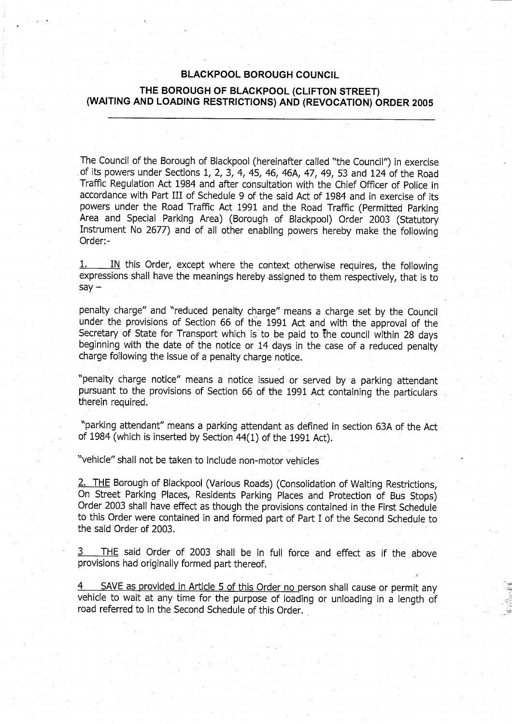#### **BLACKPOOL BOROUGH COUNCIL**

### **THE BOROUGH OF BLACKPOOL** (**CLIFTON STREET) (WAITING AND LOADING RESTRICTIONS**) **AND (REVOCATION**) **ORDER 2005**

The Council of the Borough of Blackpool (hereinafter called "the Council") in exercise of its powers under Sections 1, 2, 3, 4, 45, 46, 46A, 47, 49, 53 and 124 of the Road Traffic Regulation Act 1984 and after consultation with the Chief Officer of Police in accordance with Part III of Schedule 9 of the said Act of 1984 and in exercise of its powers under the Road Traffic Act 1991 and the Road Traffic (Permitted Parking Area and Special Parking Area) (Borough of Blackpool) Order 2003 (Statutory Instrument No 2677) and of all other enabling powers hereby make the following Order:-

1. IN this Order, except where the context otherwise requires, the following expressions shall have the meanings hereby assigned to them respectively, that is to  $say -$ 

penalty charge" and "reduced penalty charge" means a charge set by the Council under the provisions of Section 66 of the 1991 Act and with the approval of the Secretary of State for Transport which is to be paid to the council within 28 days beginning with the date of the notice or 14 days in the case of a reduced penalty charge following the issue of a penalty charge notice.

"penalty charge notice" means a notice issued or served by a parking attendant pursuant to the provisions of Section 66 of the 1991 Act containing the particulars therein required.

"parking attendant" means a parking attendant as defined in section 63A of the Act of 1984 (which is inserted by Section 44(1) of the 1991 Act).

"vehicle" shall not be taken to include non-motor vehicles

2. THE Borough of Blackpool (Various Roads) (Consolidation of Waiting Restrictions, On Street Parking Places, Residents Parking Places and Protection of Bus Stops) Order 2003 shall have effect as though the provisions contained in the First Schedule to this Order were contained in and formed part of Part I of the Second Schedule to the said Order of 2003.

3 THE said Order of 2003 shall be in full force and effect as if the above provisions had originally formed part thereof.

4 SAVE as provided in Article 5 of this Order no person shall cause or permit any vehicle to wait at any time for the purpose of loading or unloading in a length of road referred to in the Second Schedule of this Order.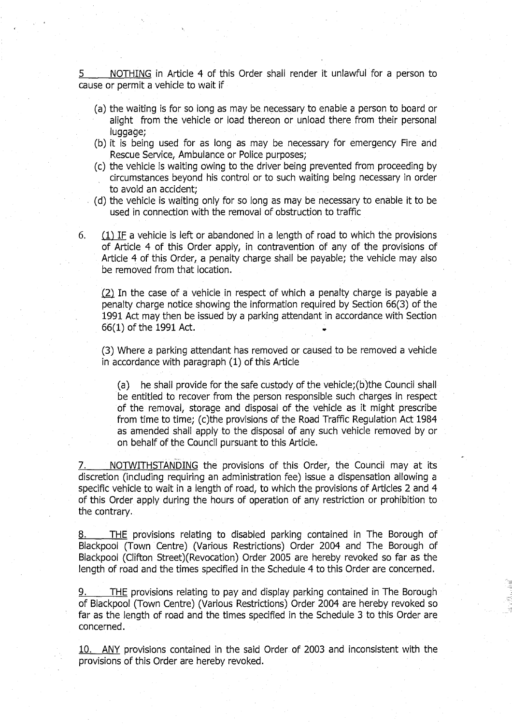5 NOTHING in Article 4 of this Order shall render it unlawful for a person to cause or permit a vehicle to wait if

- (a) the waiting is for so long as may be necessary to enable a person to board or alight from the vehicle or load thereon or unload there from their personal luggage;
- (b) it is being used for as long as may be necessary for emergency Fire and Rescue Service, Ambulance or Police purposes;
- (c) the vehicle is waiting owing to the driver being prevented from proceeding by circumstances beyond his control or to such waiting being necessary in order to avoid an accident;
- (d) the vehicle is waiting only for so long as may be necessary to enable it to be used in connection with the removal of obstruction to traffic

6.  $(1)$  IF a vehicle is left or abandoned in a length of road to which the provisions of Article 4 of this Order apply, in contravention of any of the provisions of Article 4 of this Order, a penalty charge shall be payable; the vehicle may also be removed from that location.

 $(2)$  In the case of a vehicle in respect of which a penalty charge is payable a penalty charge notice showing the information required by Section 66(3) of the 1991 Act may then be issued by a parking attendant in accordance with Section 66(1) of the 1991 Act.

(3) Where a parking attendant has removed or caused to be removed a vehicle in accordance with paragraph (1) of this Article

(a) he shall provide for the safe custody of the vehicle;(b)the Council shall be entitled to recover from the person responsible such charges in respect of the removal, storage and disposal of the vehicle as it might prescribe from time to time; (c)the provisions of the Road Traffic Regulation Act 1984 as amended shall apply to the disposal of any such vehicle removed by or on behalf of the Council pursuant to this Article.

NOTWITHSTANDING the provisions of this Order, the Council may at its discretion (including requiring an administration fee) issue a dispensation allowing a specific vehicle to wait in a length of road, to which the provisions of Articles 2 and 4 of this Order apply during the hours of operation of any restriction or prohibition to the contrary.

8. THE provisions relating to disabled parking contained in The Borough of Blackpool (Town Centre) (Various Restrictions) Order 2004 and The Borough of Blackpool (Clifton Street)(Revocation) Order 2005 are hereby revoked so far as the length of road and the times specified in the Schedule 4 to this Order are concerned.

9. THE provisions relating to pay and display parking contained in The Borough of Blackpool (Town Centre) (Various Restrictions) Order 2004 are hereby revoked so far as the length of road and the times specified in the Schedule 3 to this Order are concerned.

10. ANY provisions contained in the said Order of 2003 and inconsistent with the provisions of this Order are hereby revoked.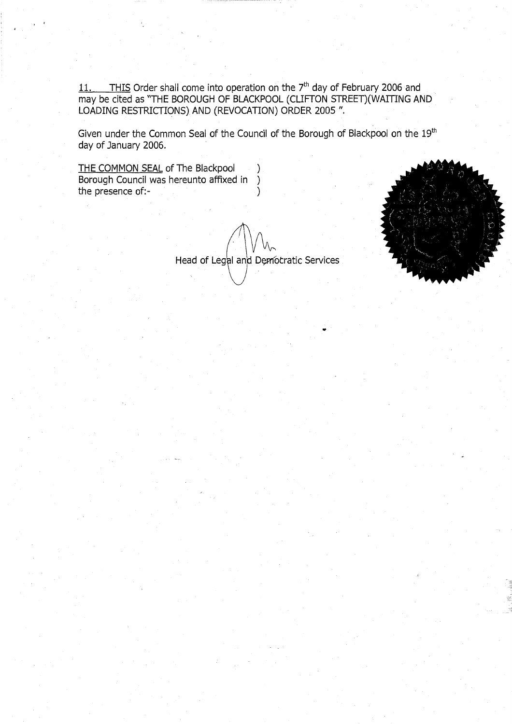11. THIS Order shall come into operation on the 7<sup>th</sup> day of February 2006 and may be cited as "THE BOROUGH OF BLACKPOOL (CLIFTON STREET)(WAITING AND LOADING RESTRICTIONS) AND (REVOCATION) ORDER 2005 ".

Given under the Common Seal of the Council of the Borough of Blackpool on the 19<sup>th</sup> day of January 2006.

THE COMMON SEAL of The Blackpool (1) Borough Council was hereunto affixed in ) the presence of:-

Head of Legal and Democratic Services